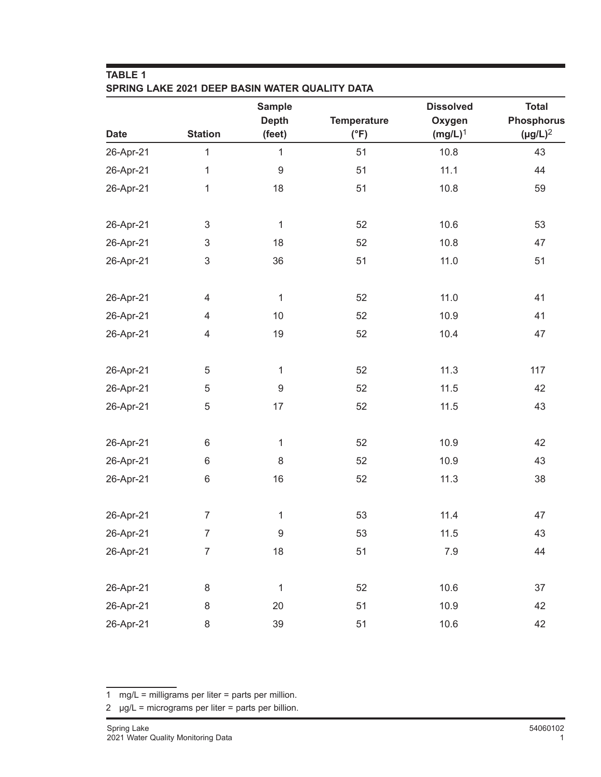| <b>TABLE 1</b><br>SPRING LAKE 2021 DEEP BASIN WATER QUALITY DATA |                |                               |                    |                            |                                   |  |
|------------------------------------------------------------------|----------------|-------------------------------|--------------------|----------------------------|-----------------------------------|--|
| <b>Date</b>                                                      | <b>Station</b> | <b>Sample</b><br><b>Depth</b> | <b>Temperature</b> | <b>Dissolved</b><br>Oxygen | <b>Total</b><br><b>Phosphorus</b> |  |
|                                                                  |                | (feet)                        | $(^{\circ}F)$      | $(mg/L)^1$                 | $(\mu g/L)^2$                     |  |
| 26-Apr-21                                                        | 1              | $\mathbf{1}$                  | 51                 | 10.8                       | 43                                |  |
| 26-Apr-21                                                        | $\mathbf{1}$   | $\boldsymbol{9}$              | 51                 | 11.1                       | 44                                |  |
| 26-Apr-21                                                        | 1              | 18                            | 51                 | 10.8                       | 59                                |  |
| 26-Apr-21                                                        | $\sqrt{3}$     | $\mathbf{1}$                  | 52                 | 10.6                       | 53                                |  |
| 26-Apr-21                                                        | 3              | 18                            | 52                 | 10.8                       | 47                                |  |
| 26-Apr-21                                                        | $\sqrt{3}$     | 36                            | 51                 | 11.0                       | 51                                |  |
| 26-Apr-21                                                        | 4              | $\mathbf{1}$                  | 52                 | 11.0                       | 41                                |  |
| 26-Apr-21                                                        | 4              | 10                            | 52                 | 10.9                       | 41                                |  |
| 26-Apr-21                                                        | $\overline{4}$ | 19                            | 52                 | 10.4                       | 47                                |  |
| 26-Apr-21                                                        | 5              | $\mathbf{1}$                  | 52                 | 11.3                       | 117                               |  |
| 26-Apr-21                                                        | 5              | $\boldsymbol{9}$              | 52                 | 11.5                       | 42                                |  |
| 26-Apr-21                                                        | $\mathbf 5$    | 17                            | 52                 | 11.5                       | 43                                |  |
| 26-Apr-21                                                        | $\,6$          | $\mathbf{1}$                  | 52                 | 10.9                       | 42                                |  |
| 26-Apr-21                                                        | 6              | 8                             | 52                 | 10.9                       | 43                                |  |
| 26-Apr-21                                                        | $6\,$          | 16                            | 52                 | 11.3                       | 38                                |  |
| 26-Apr-21                                                        | $\overline{7}$ | $\mathbf{1}$                  | 53                 | 11.4                       | 47                                |  |
| 26-Apr-21                                                        | $\overline{7}$ | $\boldsymbol{9}$              | 53                 | 11.5                       | 43                                |  |
| 26-Apr-21                                                        | $\overline{7}$ | 18                            | 51                 | 7.9                        | 44                                |  |
| 26-Apr-21                                                        | $\,8\,$        | $\mathbf{1}$                  | 52                 | 10.6                       | 37                                |  |
| 26-Apr-21                                                        | $\,8\,$        | 20                            | 51                 | 10.9                       | 42                                |  |
| 26-Apr-21                                                        | 8              | 39                            | 51                 | 10.6                       | 42                                |  |

<sup>1</sup> mg/L = milligrams per liter = parts per million.

<sup>2</sup>  $\mu$ g/L = micrograms per liter = parts per billion.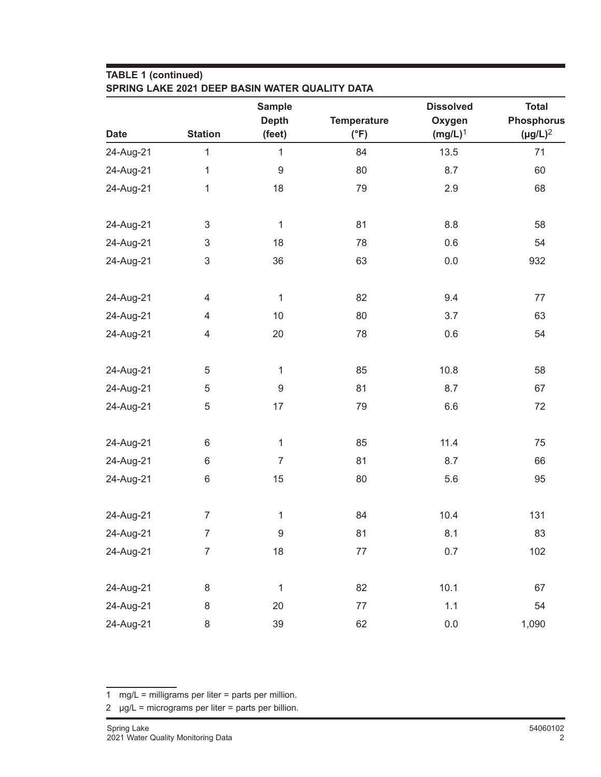## **TABLE 1 (continued)**

|             |                           | <b>Sample</b><br><b>Depth</b> | <b>Temperature</b> | <b>Dissolved</b><br>Oxygen | <b>Total</b><br><b>Phosphorus</b> |
|-------------|---------------------------|-------------------------------|--------------------|----------------------------|-----------------------------------|
| <b>Date</b> | <b>Station</b>            | (feet)                        | $(^{\circ}F)$      | $(mg/L)^1$                 | $(\mu g/L)^2$                     |
| 24-Aug-21   | $\mathbf{1}$              | $\mathbf{1}$                  | 84                 | 13.5                       | 71                                |
| 24-Aug-21   | $\mathbf{1}$              | $\boldsymbol{9}$              | 80                 | 8.7                        | 60                                |
| 24-Aug-21   | $\mathbf 1$               | 18                            | 79                 | 2.9                        | 68                                |
| 24-Aug-21   | $\mathsf 3$               | $\mathbf{1}$                  | 81                 | 8.8                        | 58                                |
| 24-Aug-21   | $\ensuremath{\mathsf{3}}$ | 18                            | 78                 | 0.6                        | 54                                |
| 24-Aug-21   | $\ensuremath{\mathsf{3}}$ | 36                            | 63                 | 0.0                        | 932                               |
| 24-Aug-21   | $\overline{4}$            | $\mathbf{1}$                  | 82                 | 9.4                        | 77                                |
| 24-Aug-21   | 4                         | 10                            | 80                 | 3.7                        | 63                                |
| 24-Aug-21   | $\overline{\mathcal{A}}$  | 20                            | 78                 | 0.6                        | 54                                |
| 24-Aug-21   | 5                         | $\mathbf{1}$                  | 85                 | 10.8                       | 58                                |
| 24-Aug-21   | $\mathbf 5$               | $\boldsymbol{9}$              | 81                 | 8.7                        | 67                                |
| 24-Aug-21   | $\mathbf 5$               | 17                            | 79                 | 6.6                        | 72                                |
| 24-Aug-21   | $\,6$                     | $\mathbf{1}$                  | 85                 | 11.4                       | 75                                |
| 24-Aug-21   | $\,6$                     | $\overline{7}$                | 81                 | 8.7                        | 66                                |
| 24-Aug-21   | $\,6\,$                   | 15                            | 80                 | 5.6                        | 95                                |
| 24-Aug-21   | $\overline{7}$            | 1                             | 84                 | 10.4                       | 131                               |
| 24-Aug-21   | 7                         | 9                             | 81                 | 8.1                        | 83                                |
| 24-Aug-21   | $\overline{7}$            | 18                            | $77\,$             | 0.7                        | 102                               |
| 24-Aug-21   | 8                         | $\mathbf 1$                   | 82                 | 10.1                       | 67                                |
| 24-Aug-21   | 8                         | 20                            | $77 \,$            | 1.1                        | 54                                |
| 24-Aug-21   | 8                         | 39                            | 62                 | $0.0\,$                    | 1,090                             |

<sup>1</sup> mg/L = milligrams per liter = parts per million.

 $2 \text{ µg/L} = \text{micrograms per liter} = \text{parts per billion}.$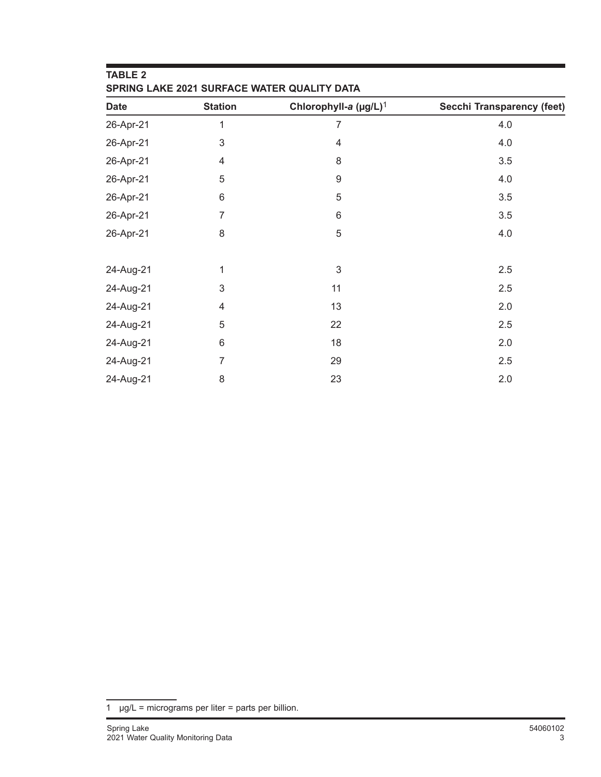| <b>TABLE 2</b><br>SPRING LAKE 2021 SURFACE WATER QUALITY DATA |                |                                   |                            |  |  |  |
|---------------------------------------------------------------|----------------|-----------------------------------|----------------------------|--|--|--|
| <b>Date</b>                                                   | <b>Station</b> | Chlorophyll-a (µg/L) <sup>1</sup> | Secchi Transparency (feet) |  |  |  |
| 26-Apr-21                                                     | 1              | 7                                 | 4.0                        |  |  |  |
| 26-Apr-21                                                     | $\mathsf 3$    | $\overline{4}$                    | 4.0                        |  |  |  |
| 26-Apr-21                                                     | 4              | 8                                 | 3.5                        |  |  |  |
| 26-Apr-21                                                     | 5              | 9                                 | 4.0                        |  |  |  |
| 26-Apr-21                                                     | 6              | 5                                 | 3.5                        |  |  |  |
| 26-Apr-21                                                     | 7              | 6                                 | 3.5                        |  |  |  |
| 26-Apr-21                                                     | 8              | 5                                 | 4.0                        |  |  |  |
| 24-Aug-21                                                     | 1              | 3                                 | 2.5                        |  |  |  |
| 24-Aug-21                                                     | $\mathsf 3$    | 11                                | 2.5                        |  |  |  |
| 24-Aug-21                                                     | 4              | 13                                | 2.0                        |  |  |  |
| 24-Aug-21                                                     | 5              | 22                                | 2.5                        |  |  |  |
| 24-Aug-21                                                     | 6              | 18                                | 2.0                        |  |  |  |
| 24-Aug-21                                                     | 7              | 29                                | 2.5                        |  |  |  |
| 24-Aug-21                                                     | 8              | 23                                | 2.0                        |  |  |  |

1  $\mu$ g/L = micrograms per liter = parts per billion.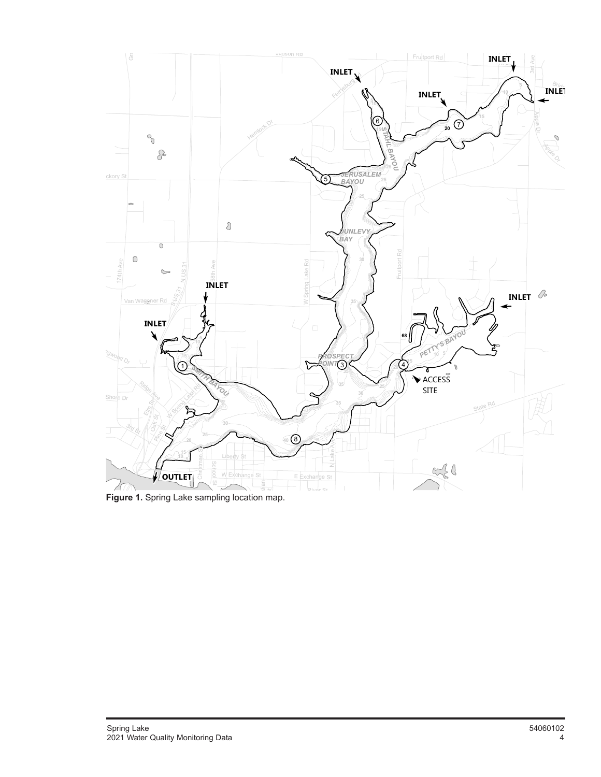

*i<br><i>R*<br>*R*<br>*R*<br>*R*<br>*R* **Figure 1.** Spring Lake sampling location map.